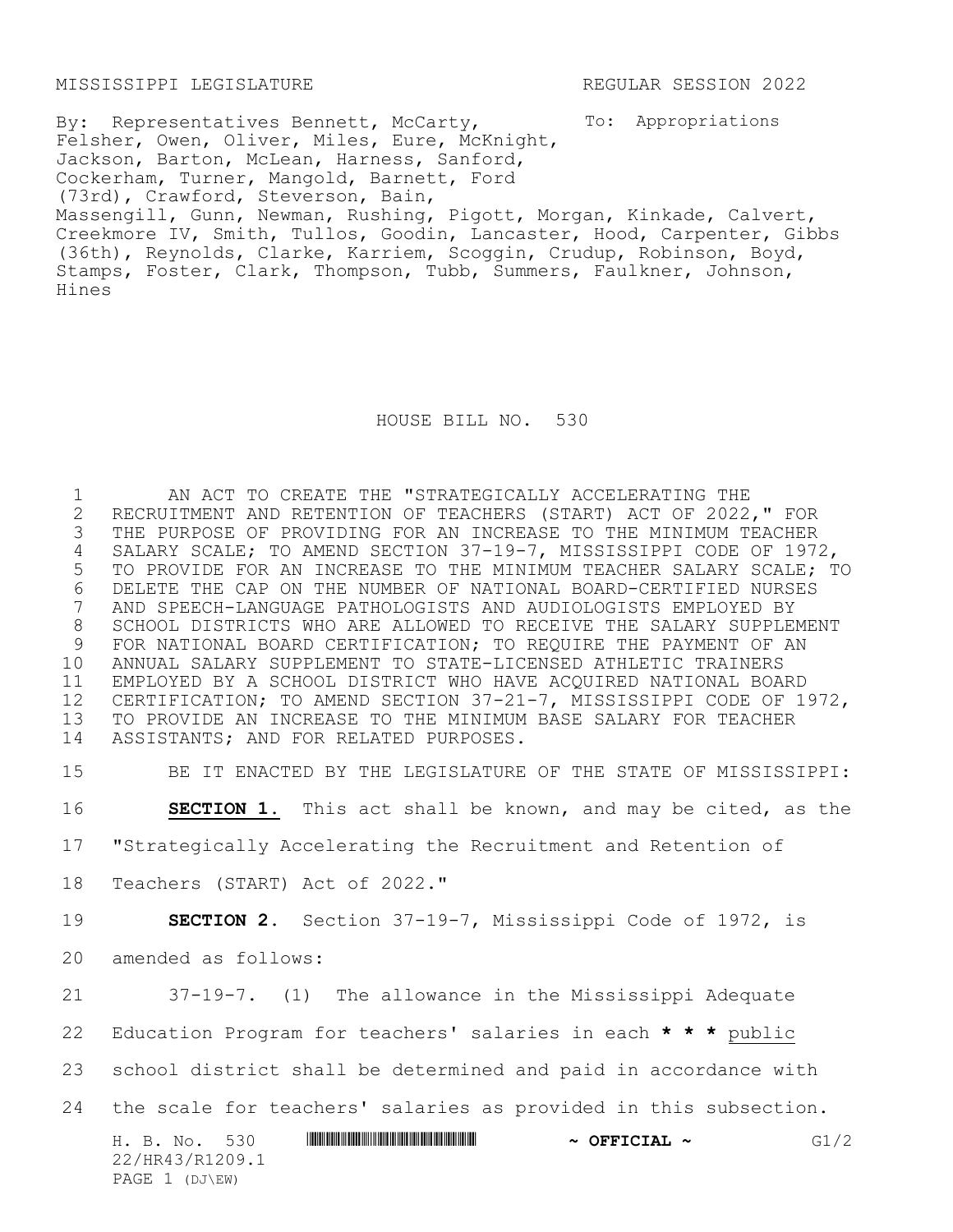MISSISSIPPI LEGISLATURE REGULAR SESSION 2022

To: Appropriations By: Representatives Bennett, McCarty, Felsher, Owen, Oliver, Miles, Eure, McKnight, Jackson, Barton, McLean, Harness, Sanford, Cockerham, Turner, Mangold, Barnett, Ford (73rd), Crawford, Steverson, Bain, Massengill, Gunn, Newman, Rushing, Pigott, Morgan, Kinkade, Calvert, Creekmore IV, Smith, Tullos, Goodin, Lancaster, Hood, Carpenter, Gibbs (36th), Reynolds, Clarke, Karriem, Scoggin, Crudup, Robinson, Boyd, Stamps, Foster, Clark, Thompson, Tubb, Summers, Faulkner, Johnson, Hines

HOUSE BILL NO. 530

 AN ACT TO CREATE THE "STRATEGICALLY ACCELERATING THE 2 RECRUITMENT AND RETENTION OF TEACHERS (START) ACT OF 2022," FOR<br>3 THE PURPOSE OF PROVIDING FOR AN INCREASE TO THE MINIMUM TEACHER THE PURPOSE OF PROVIDING FOR AN INCREASE TO THE MINIMUM TEACHER SALARY SCALE; TO AMEND SECTION 37-19-7, MISSISSIPPI CODE OF 1972, TO PROVIDE FOR AN INCREASE TO THE MINIMUM TEACHER SALARY SCALE; TO 6 DELETE THE CAP ON THE NUMBER OF NATIONAL BOARD-CERTIFIED NURSES<br>7 AND SPEECH-LANGUAGE PATHOLOGISTS AND AUDIOLOGISTS EMPLOYED BY AND SPEECH-LANGUAGE PATHOLOGISTS AND AUDIOLOGISTS EMPLOYED BY 8 SCHOOL DISTRICTS WHO ARE ALLOWED TO RECEIVE THE SALARY SUPPLEMENT<br>9 FOR NATIONAL BOARD CERTIFICATION: TO REOUIRE THE PAYMENT OF AN FOR NATIONAL BOARD CERTIFICATION; TO REQUIRE THE PAYMENT OF AN ANNUAL SALARY SUPPLEMENT TO STATE-LICENSED ATHLETIC TRAINERS EMPLOYED BY A SCHOOL DISTRICT WHO HAVE ACQUIRED NATIONAL BOARD CERTIFICATION; TO AMEND SECTION 37-21-7, MISSISSIPPI CODE OF 1972, TO PROVIDE AN INCREASE TO THE MINIMUM BASE SALARY FOR TEACHER ASSISTANTS; AND FOR RELATED PURPOSES.

15 BE IT ENACTED BY THE LEGISLATURE OF THE STATE OF MISSISSIPPI:

16 **SECTION 1.** This act shall be known, and may be cited, as the

17 "Strategically Accelerating the Recruitment and Retention of

18 Teachers (START) Act of 2022."

19 **SECTION 2.** Section 37-19-7, Mississippi Code of 1972, is

20 amended as follows:

21 37-19-7. (1) The allowance in the Mississippi Adequate 22 Education Program for teachers' salaries in each **\* \* \*** public

23 school district shall be determined and paid in accordance with

24 the scale for teachers' salaries as provided in this subsection.

H. B. No. 530 \*HR43/R1209.1\* **~ OFFICIAL ~** G1/2 22/HR43/R1209.1 PAGE 1 (DJ\EW)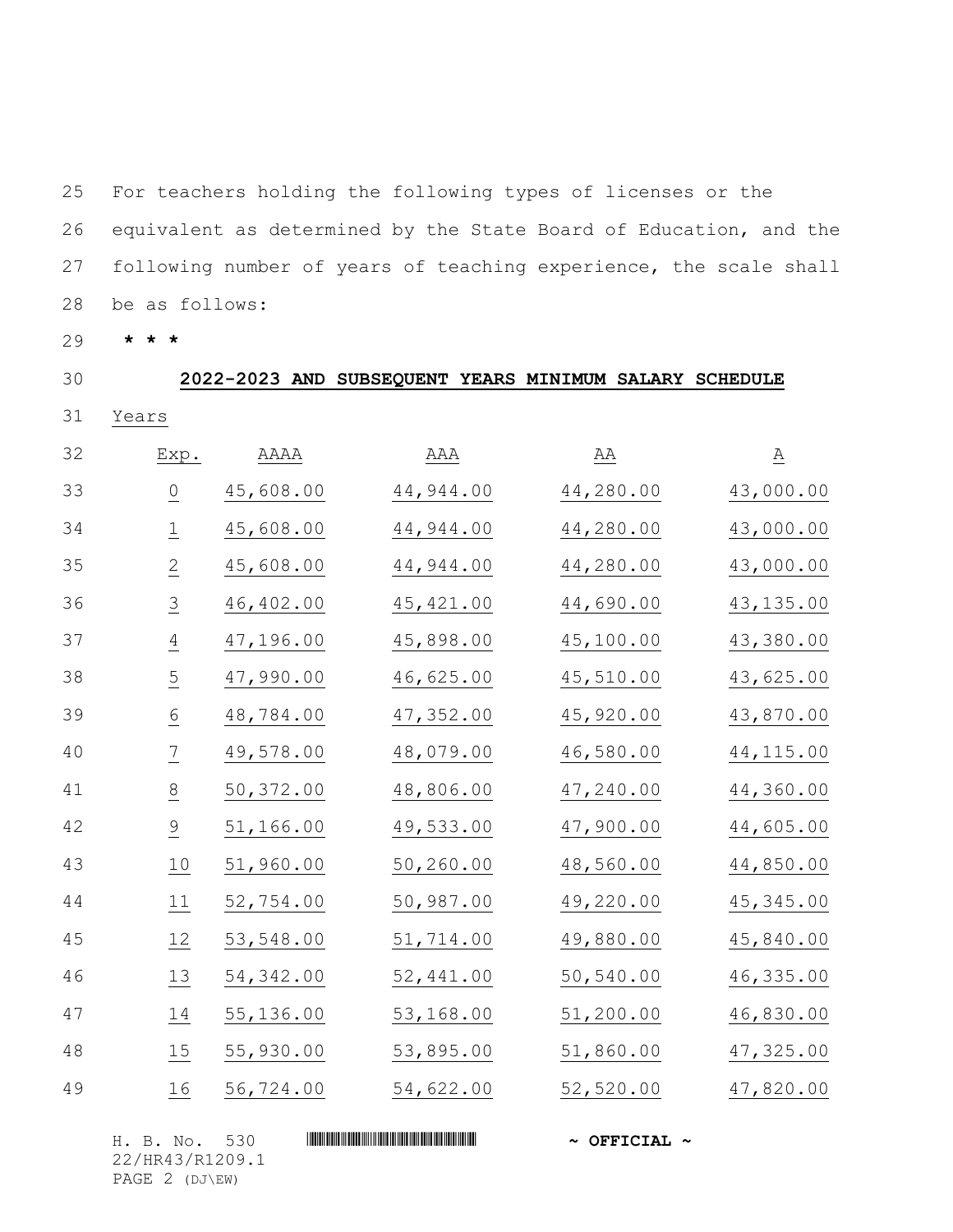For teachers holding the following types of licenses or the equivalent as determined by the State Board of Education, and the following number of years of teaching experience, the scale shall be as follows:

**\* \* \***

| 30 |                 |            | 2022-2023 AND SUBSEQUENT YEARS MINIMUM SALARY SCHEDULE |            |                 |
|----|-----------------|------------|--------------------------------------------------------|------------|-----------------|
| 31 | Years           |            |                                                        |            |                 |
| 32 | Exp.            | AAAA       | AAA                                                    | ΆA         | $\underline{A}$ |
| 33 | $\underline{0}$ | 45,608.00  | 44,944.00                                              | 44,280.00  | 43,000.00       |
| 34 | $\overline{1}$  | 45,608.00  | 44,944.00                                              | 44,280.00  | 43,000.00       |
| 35 | $\overline{2}$  | 45,608.00  | 44,944.00                                              | 44,280.00  | 43,000.00       |
| 36 | $\overline{3}$  | 46,402.00  | 45, 421.00                                             | 44,690.00  | 43, 135.00      |
| 37 | $\overline{4}$  | 47,196.00  | 45,898.00                                              | 45,100.00  | 43,380.00       |
| 38 | $\overline{5}$  | 47,990.00  | 46,625.00                                              | 45,510.00  | 43,625.00       |
| 39 | $\underline{6}$ | 48,784.00  | 47,352.00                                              | 45,920.00  | 43,870.00       |
| 40 | $\overline{1}$  | 49,578.00  | 48,079.00                                              | 46,580.00  | 44, 115.00      |
| 41 | $\frac{8}{1}$   | 50,372.00  | 48,806.00                                              | 47,240.00  | 44,360.00       |
| 42 | $\overline{9}$  | 51,166.00  | 49,533.00                                              | 47,900.00  | 44,605.00       |
| 43 | 10              | 51,960.00  | 50,260.00                                              | 48,560.00  | 44,850.00       |
| 44 | $11$            | 52,754.00  | 50,987.00                                              | 49,220.00  | 45, 345.00      |
| 45 | 12              | 53,548.00  | 51,714.00                                              | 49,880.00  | 45,840.00       |
| 46 | 13              | 54, 342.00 | 52,441.00                                              | 50, 540.00 | 46, 335.00      |
| 47 | 14              | 55,136.00  | 53,168.00                                              | 51,200.00  | 46,830.00       |
| 48 | 15              | 55,930.00  | 53,895.00                                              | 51,860.00  | 47,325.00       |
| 49 | 16              | 56,724.00  | 54,622.00                                              | 52,520.00  | 47,820.00       |
|    |                 |            |                                                        |            |                 |

H. B. No. 530 \*HR43/R1209.1\* **~ OFFICIAL ~** 22/HR43/R1209.1 PAGE 2 (DJ\EW)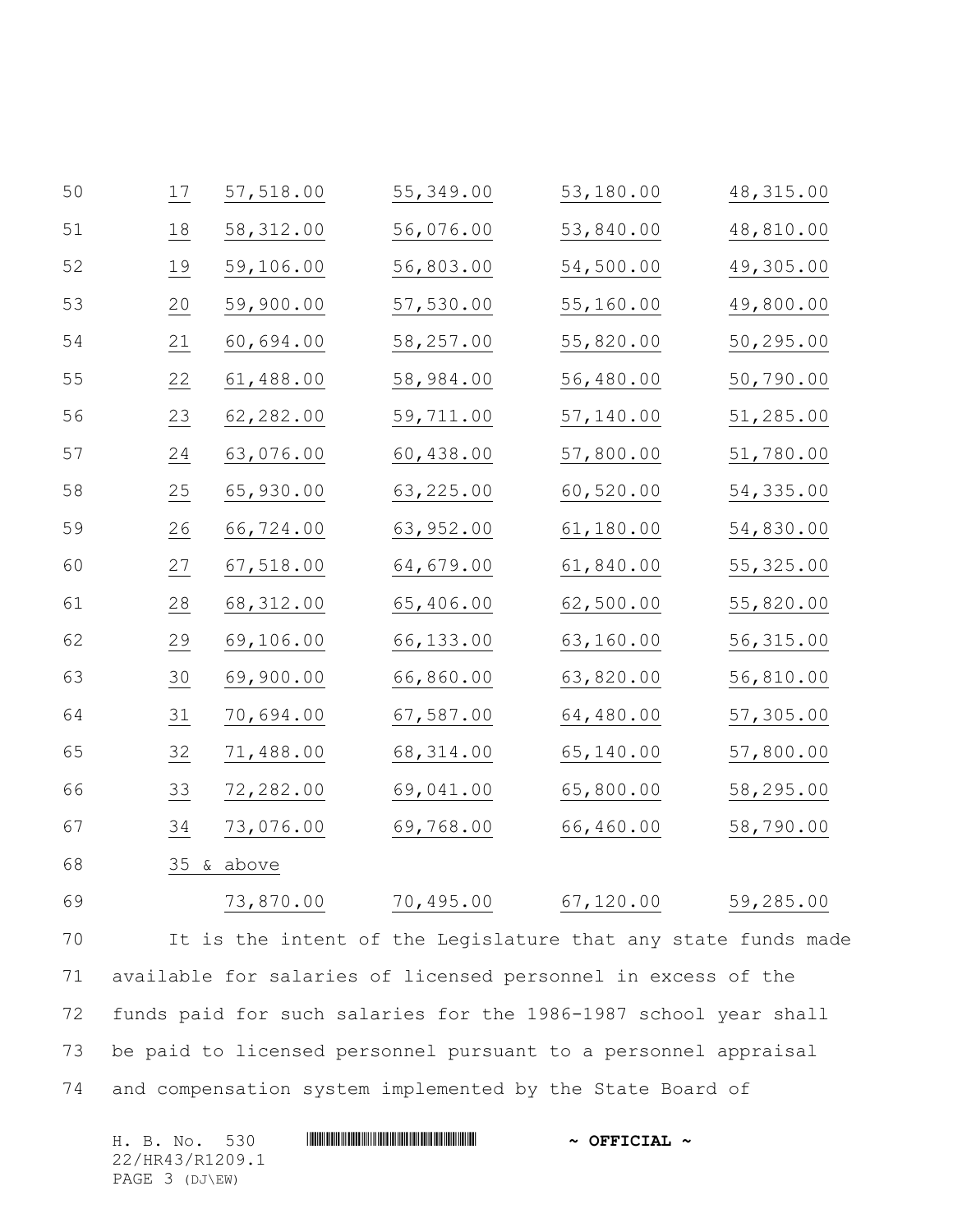| 50 | 17 | 57,518.00  | 55,349.00  | 53,180.00 | 48, 315.00 |
|----|----|------------|------------|-----------|------------|
| 51 | 18 | 58, 312.00 | 56,076.00  | 53,840.00 | 48,810.00  |
| 52 | 19 | 59,106.00  | 56,803.00  | 54,500.00 | 49,305.00  |
| 53 | 20 | 59,900.00  | 57,530.00  | 55,160.00 | 49,800.00  |
| 54 | 21 | 60,694.00  | 58,257.00  | 55,820.00 | 50,295.00  |
| 55 | 22 | 61,488.00  | 58,984.00  | 56,480.00 | 50,790.00  |
| 56 | 23 | 62,282.00  | 59,711.00  | 57,140.00 | 51,285.00  |
| 57 | 24 | 63,076.00  | 60,438.00  | 57,800.00 | 51,780.00  |
| 58 | 25 | 65,930.00  | 63,225.00  | 60,520.00 | 54,335.00  |
| 59 | 26 | 66,724.00  | 63,952.00  | 61,180.00 | 54,830.00  |
| 60 | 27 | 67,518.00  | 64,679.00  | 61,840.00 | 55, 325.00 |
| 61 | 28 | 68, 312.00 | 65,406.00  | 62,500.00 | 55,820.00  |
| 62 | 29 | 69,106.00  | 66,133.00  | 63,160.00 | 56, 315.00 |
| 63 | 30 | 69,900.00  | 66,860.00  | 63,820.00 | 56,810.00  |
| 64 | 31 | 70,694.00  | 67,587.00  | 64,480.00 | 57,305.00  |
| 65 | 32 | 71,488.00  | 68, 314.00 | 65,140.00 | 57,800.00  |
| 66 | 33 | 72,282.00  | 69,041.00  | 65,800.00 | 58,295.00  |
| 67 | 34 | 73,076.00  | 69,768.00  | 66,460.00 | 58,790.00  |
| 68 |    | 35 & above |            |           |            |
| 69 |    | 73,870.00  | 70,495.00  | 67,120.00 | 59,285.00  |

 It is the intent of the Legislature that any state funds made available for salaries of licensed personnel in excess of the funds paid for such salaries for the 1986-1987 school year shall be paid to licensed personnel pursuant to a personnel appraisal and compensation system implemented by the State Board of

| H. B. No. 530   | $\sim$ OFFICIAL $\sim$ |
|-----------------|------------------------|
| 22/HR43/R1209.1 |                        |
| PAGE 3 (DJ\EW)  |                        |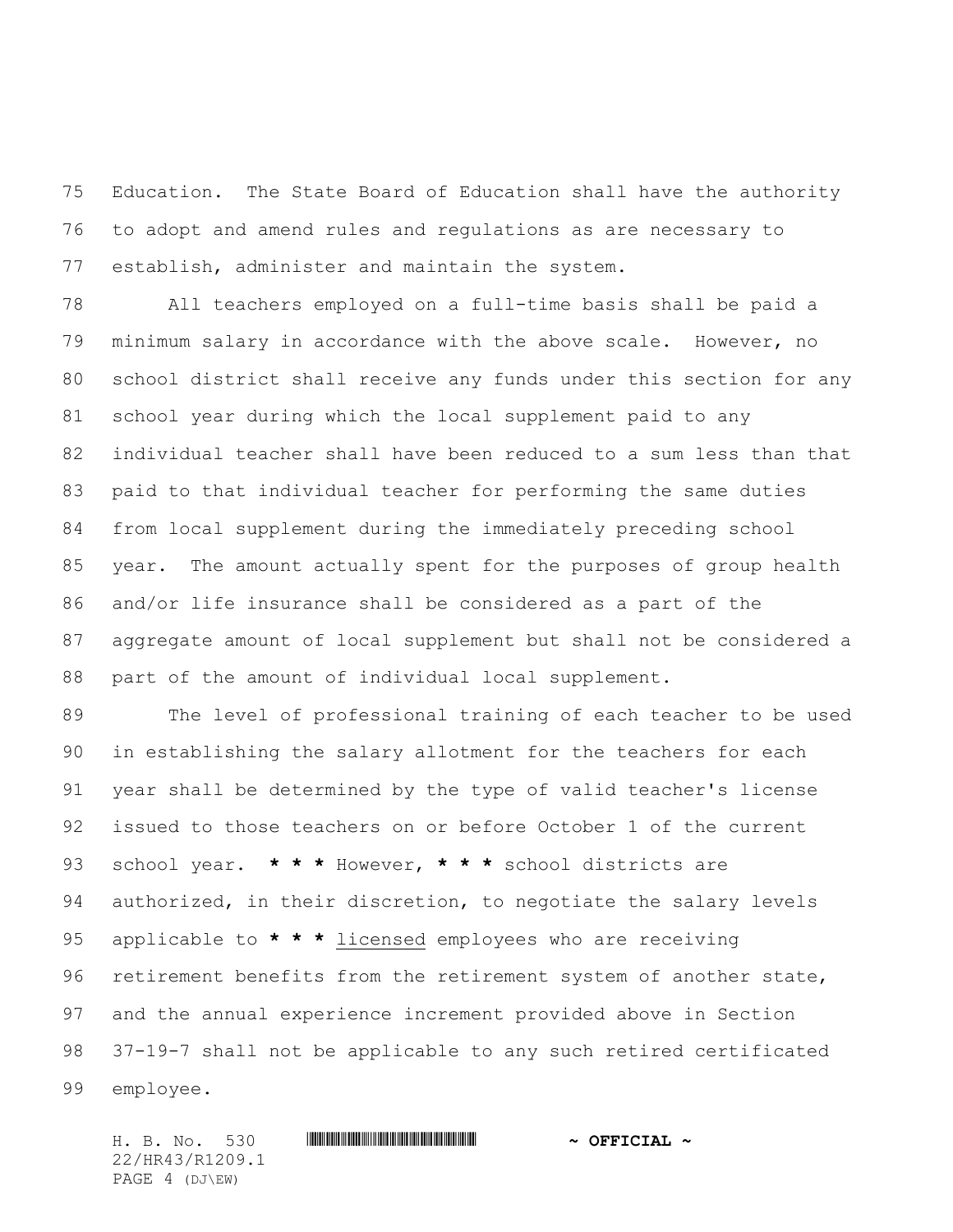Education. The State Board of Education shall have the authority to adopt and amend rules and regulations as are necessary to establish, administer and maintain the system.

 All teachers employed on a full-time basis shall be paid a minimum salary in accordance with the above scale. However, no school district shall receive any funds under this section for any school year during which the local supplement paid to any individual teacher shall have been reduced to a sum less than that paid to that individual teacher for performing the same duties from local supplement during the immediately preceding school year. The amount actually spent for the purposes of group health and/or life insurance shall be considered as a part of the aggregate amount of local supplement but shall not be considered a part of the amount of individual local supplement.

 The level of professional training of each teacher to be used in establishing the salary allotment for the teachers for each year shall be determined by the type of valid teacher's license issued to those teachers on or before October 1 of the current school year. **\* \* \*** However, **\* \* \*** school districts are authorized, in their discretion, to negotiate the salary levels applicable to **\* \* \*** licensed employees who are receiving retirement benefits from the retirement system of another state, and the annual experience increment provided above in Section 37-19-7 shall not be applicable to any such retired certificated employee.

22/HR43/R1209.1 PAGE 4 (DJ\EW)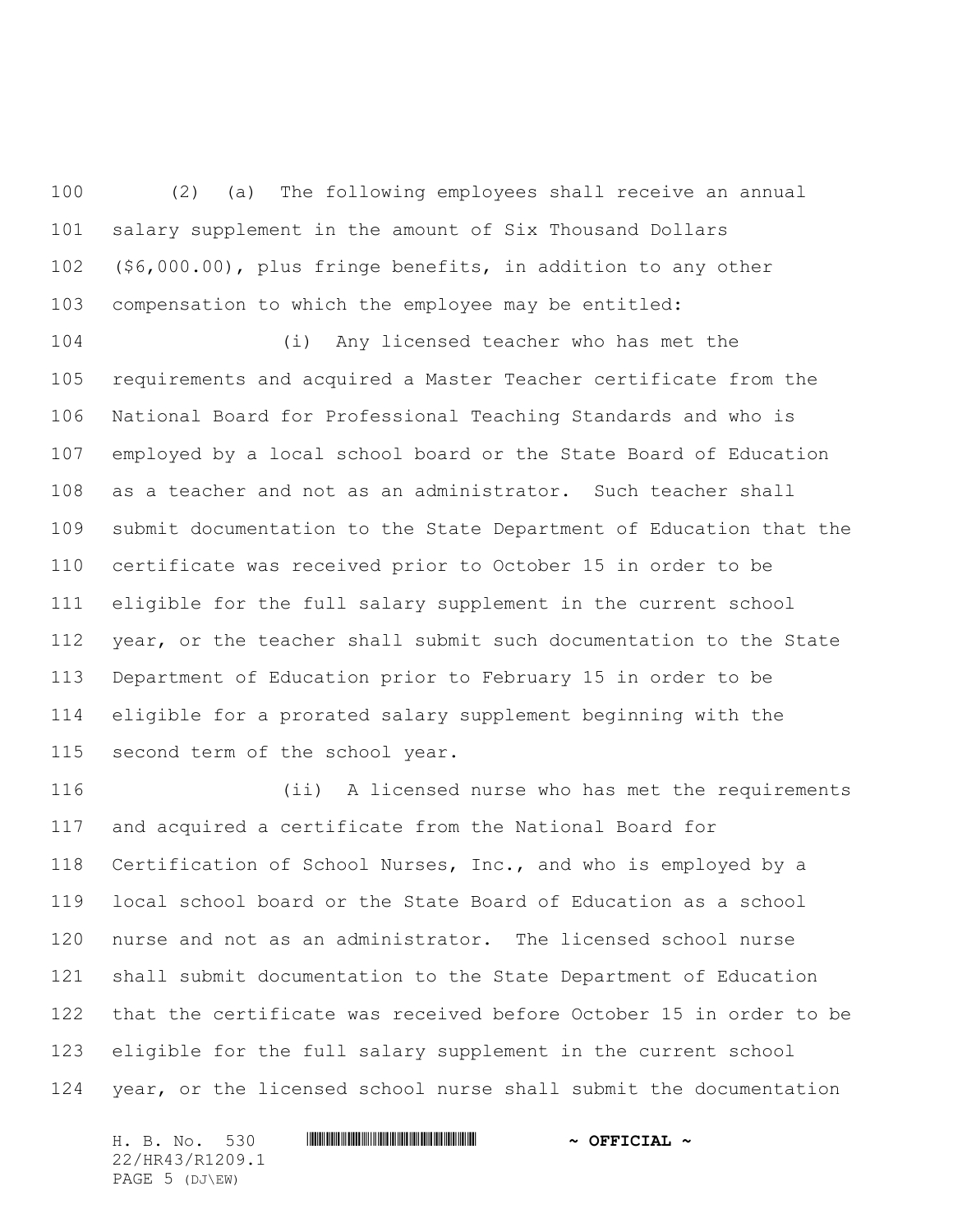(2) (a) The following employees shall receive an annual salary supplement in the amount of Six Thousand Dollars (\$6,000.00), plus fringe benefits, in addition to any other compensation to which the employee may be entitled:

 (i) Any licensed teacher who has met the requirements and acquired a Master Teacher certificate from the National Board for Professional Teaching Standards and who is employed by a local school board or the State Board of Education as a teacher and not as an administrator. Such teacher shall submit documentation to the State Department of Education that the certificate was received prior to October 15 in order to be eligible for the full salary supplement in the current school year, or the teacher shall submit such documentation to the State Department of Education prior to February 15 in order to be eligible for a prorated salary supplement beginning with the second term of the school year.

 (ii) A licensed nurse who has met the requirements and acquired a certificate from the National Board for Certification of School Nurses, Inc., and who is employed by a local school board or the State Board of Education as a school nurse and not as an administrator. The licensed school nurse shall submit documentation to the State Department of Education that the certificate was received before October 15 in order to be eligible for the full salary supplement in the current school year, or the licensed school nurse shall submit the documentation

H. B. No. 530 \*HR43/R1209.1\* **~ OFFICIAL ~** 22/HR43/R1209.1 PAGE 5 (DJ\EW)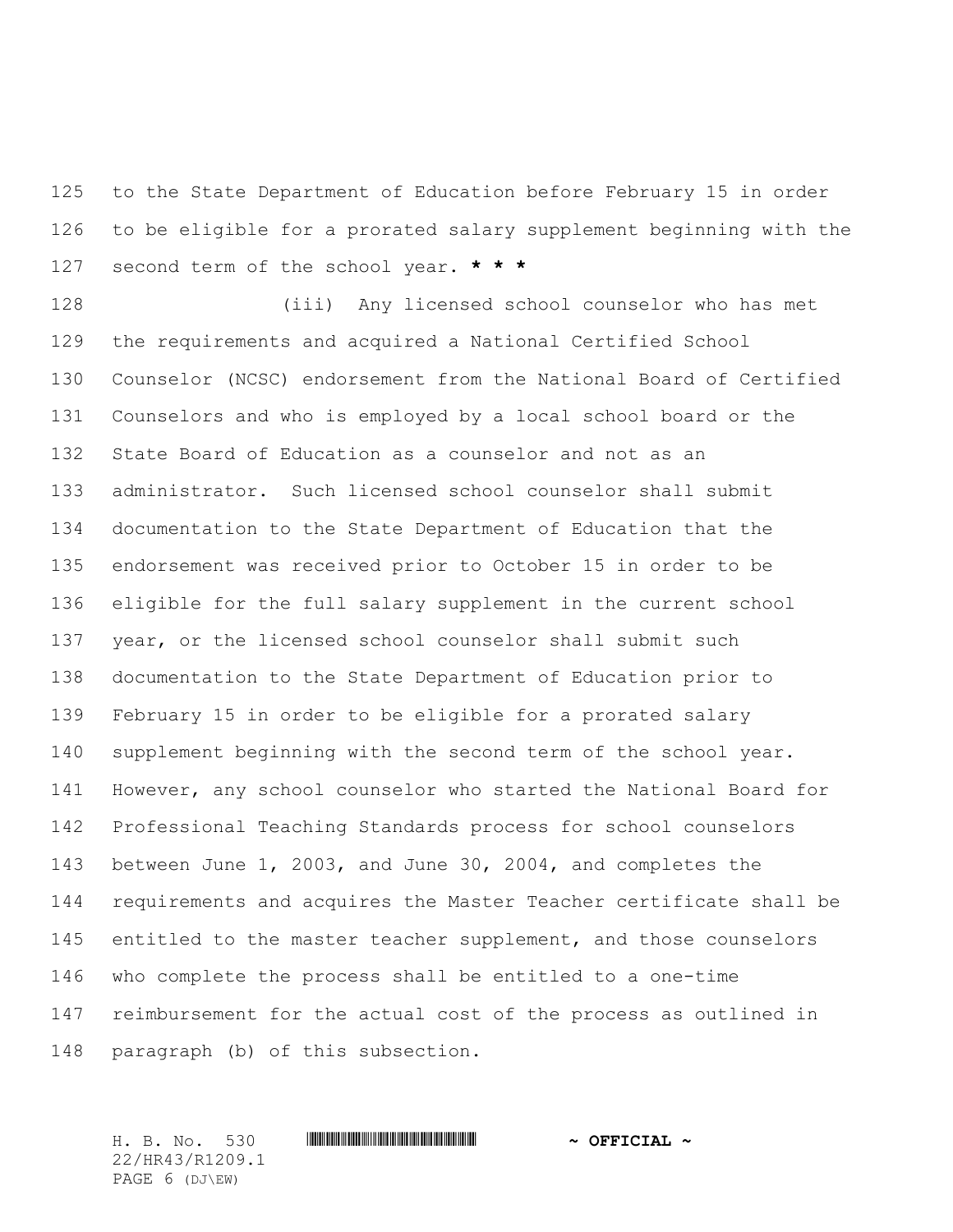to the State Department of Education before February 15 in order to be eligible for a prorated salary supplement beginning with the second term of the school year. **\* \* \***

 (iii) Any licensed school counselor who has met the requirements and acquired a National Certified School Counselor (NCSC) endorsement from the National Board of Certified Counselors and who is employed by a local school board or the State Board of Education as a counselor and not as an administrator. Such licensed school counselor shall submit documentation to the State Department of Education that the endorsement was received prior to October 15 in order to be eligible for the full salary supplement in the current school year, or the licensed school counselor shall submit such documentation to the State Department of Education prior to February 15 in order to be eligible for a prorated salary supplement beginning with the second term of the school year. However, any school counselor who started the National Board for Professional Teaching Standards process for school counselors between June 1, 2003, and June 30, 2004, and completes the requirements and acquires the Master Teacher certificate shall be 145 entitled to the master teacher supplement, and those counselors who complete the process shall be entitled to a one-time reimbursement for the actual cost of the process as outlined in paragraph (b) of this subsection.

H. B. No. 530 \*HR43/R1209.1\* **~ OFFICIAL ~** 22/HR43/R1209.1 PAGE 6 (DJ\EW)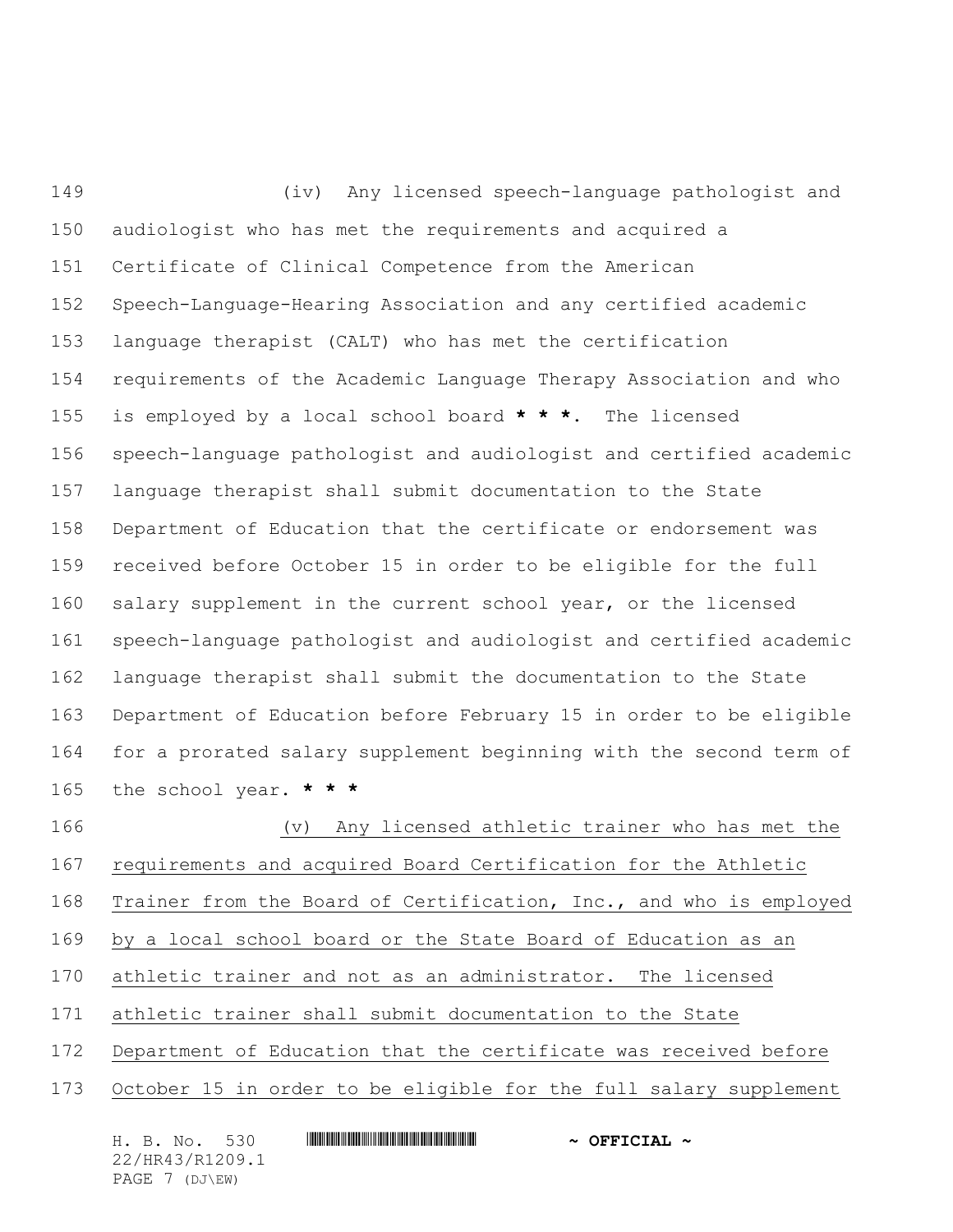(iv) Any licensed speech-language pathologist and audiologist who has met the requirements and acquired a Certificate of Clinical Competence from the American Speech-Language-Hearing Association and any certified academic language therapist (CALT) who has met the certification requirements of the Academic Language Therapy Association and who is employed by a local school board **\* \* \***. The licensed speech-language pathologist and audiologist and certified academic language therapist shall submit documentation to the State Department of Education that the certificate or endorsement was received before October 15 in order to be eligible for the full salary supplement in the current school year, or the licensed speech-language pathologist and audiologist and certified academic language therapist shall submit the documentation to the State Department of Education before February 15 in order to be eligible for a prorated salary supplement beginning with the second term of the school year. **\* \* \*** (v) Any licensed athletic trainer who has met the requirements and acquired Board Certification for the Athletic Trainer from the Board of Certification, Inc., and who is employed

by a local school board or the State Board of Education as an

athletic trainer and not as an administrator. The licensed

athletic trainer shall submit documentation to the State

Department of Education that the certificate was received before

October 15 in order to be eligible for the full salary supplement

| H. B. No. 530   | $\sim$ OFFICIAL $\sim$ |
|-----------------|------------------------|
| 22/HR43/R1209.1 |                        |
| PAGE 7 (DJ\EW)  |                        |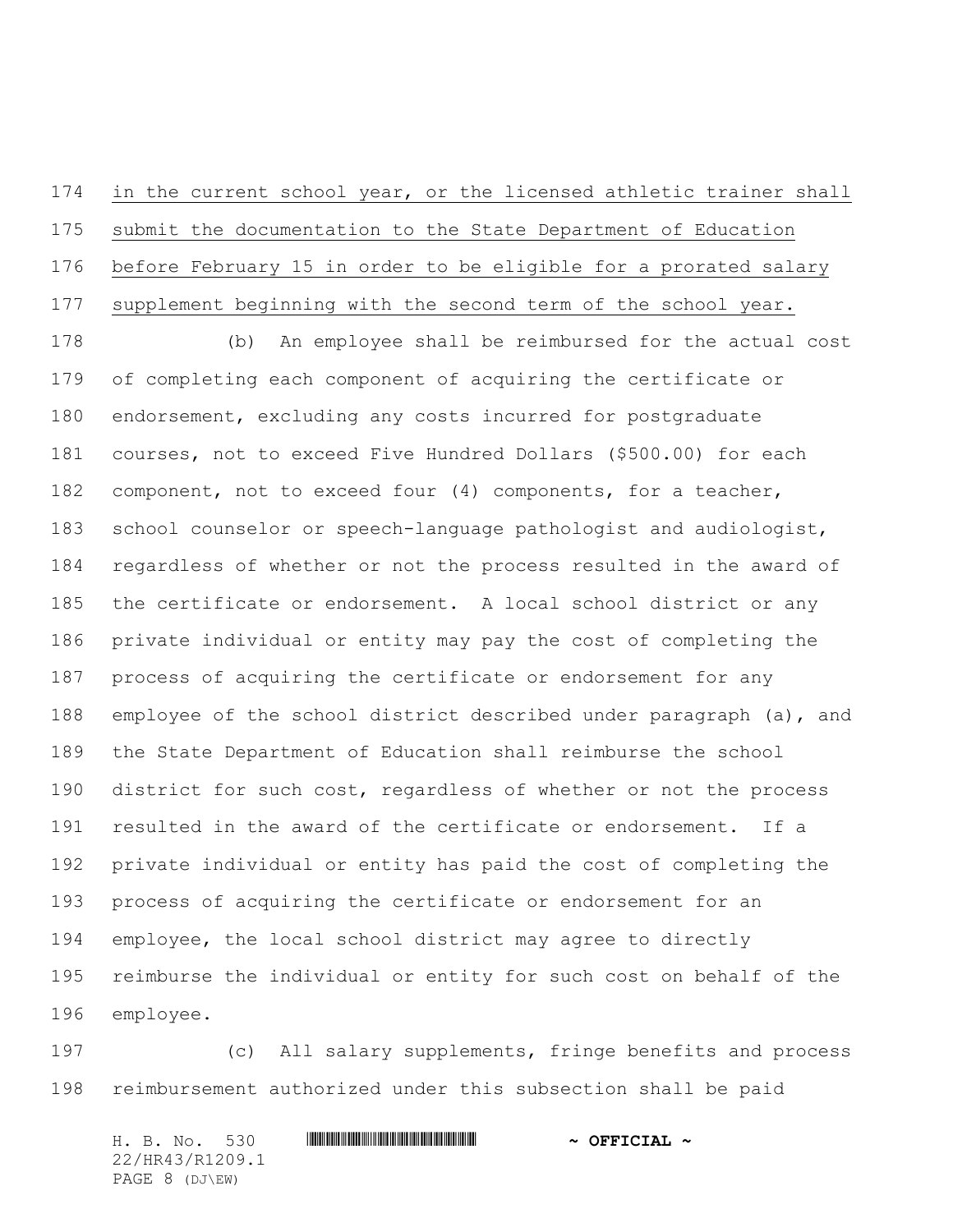in the current school year, or the licensed athletic trainer shall submit the documentation to the State Department of Education before February 15 in order to be eligible for a prorated salary supplement beginning with the second term of the school year.

 (b) An employee shall be reimbursed for the actual cost of completing each component of acquiring the certificate or endorsement, excluding any costs incurred for postgraduate courses, not to exceed Five Hundred Dollars (\$500.00) for each component, not to exceed four (4) components, for a teacher, school counselor or speech-language pathologist and audiologist, regardless of whether or not the process resulted in the award of the certificate or endorsement. A local school district or any private individual or entity may pay the cost of completing the process of acquiring the certificate or endorsement for any employee of the school district described under paragraph (a), and the State Department of Education shall reimburse the school 190 district for such cost, regardless of whether or not the process resulted in the award of the certificate or endorsement. If a private individual or entity has paid the cost of completing the process of acquiring the certificate or endorsement for an employee, the local school district may agree to directly reimburse the individual or entity for such cost on behalf of the employee.

 (c) All salary supplements, fringe benefits and process reimbursement authorized under this subsection shall be paid

H. B. No. 530 \*HR43/R1209.1\* **~ OFFICIAL ~** 22/HR43/R1209.1 PAGE 8 (DJ\EW)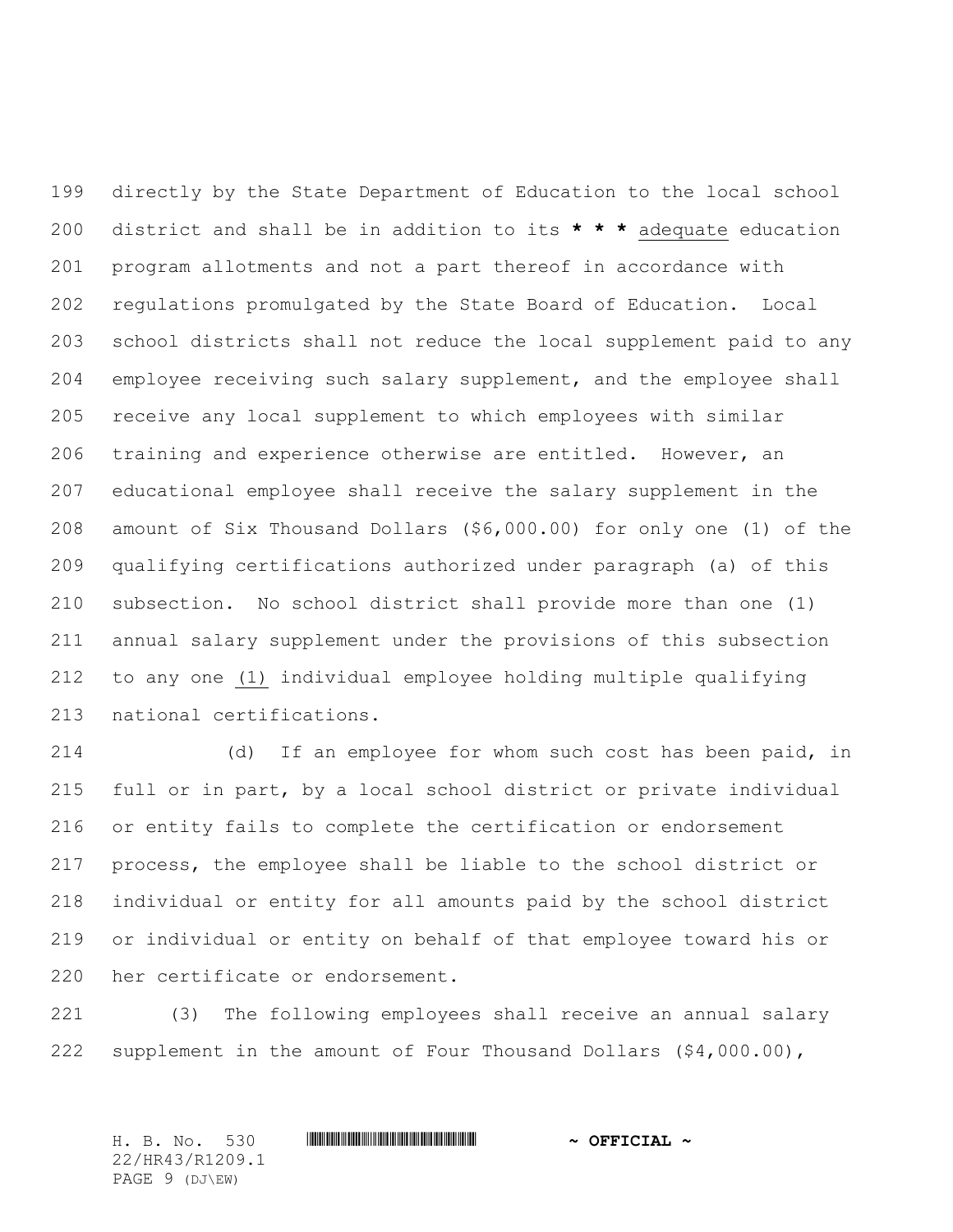directly by the State Department of Education to the local school district and shall be in addition to its **\* \* \*** adequate education program allotments and not a part thereof in accordance with regulations promulgated by the State Board of Education. Local school districts shall not reduce the local supplement paid to any employee receiving such salary supplement, and the employee shall receive any local supplement to which employees with similar training and experience otherwise are entitled. However, an educational employee shall receive the salary supplement in the amount of Six Thousand Dollars (\$6,000.00) for only one (1) of the qualifying certifications authorized under paragraph (a) of this subsection. No school district shall provide more than one (1) annual salary supplement under the provisions of this subsection to any one (1) individual employee holding multiple qualifying national certifications.

 (d) If an employee for whom such cost has been paid, in full or in part, by a local school district or private individual or entity fails to complete the certification or endorsement process, the employee shall be liable to the school district or individual or entity for all amounts paid by the school district or individual or entity on behalf of that employee toward his or her certificate or endorsement.

 (3) The following employees shall receive an annual salary supplement in the amount of Four Thousand Dollars (\$4,000.00),

H. B. No. 530 \*HR43/R1209.1\* **~ OFFICIAL ~** 22/HR43/R1209.1 PAGE 9 (DJ\EW)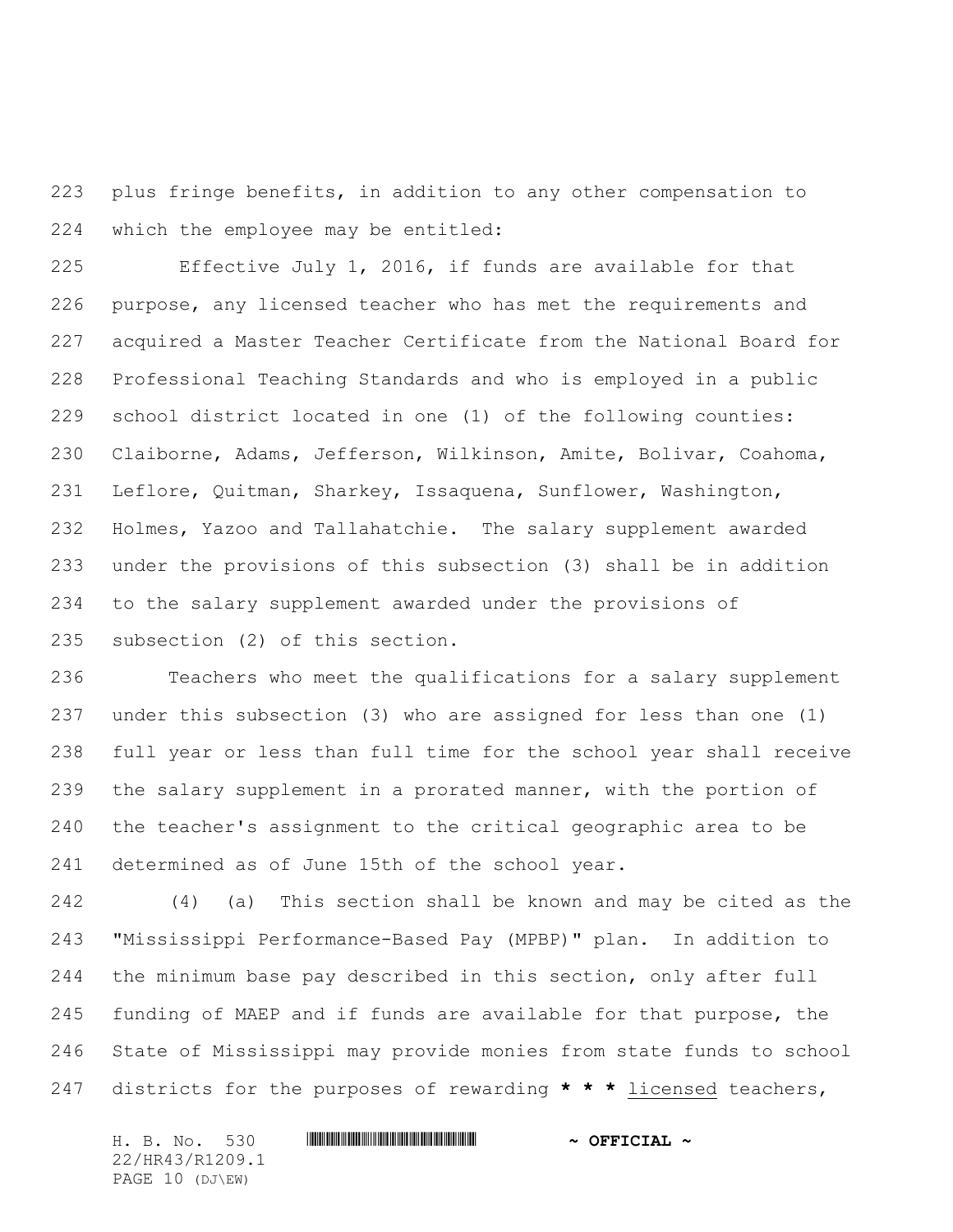plus fringe benefits, in addition to any other compensation to which the employee may be entitled:

 Effective July 1, 2016, if funds are available for that purpose, any licensed teacher who has met the requirements and acquired a Master Teacher Certificate from the National Board for Professional Teaching Standards and who is employed in a public school district located in one (1) of the following counties: Claiborne, Adams, Jefferson, Wilkinson, Amite, Bolivar, Coahoma, Leflore, Quitman, Sharkey, Issaquena, Sunflower, Washington, Holmes, Yazoo and Tallahatchie. The salary supplement awarded under the provisions of this subsection (3) shall be in addition to the salary supplement awarded under the provisions of subsection (2) of this section.

 Teachers who meet the qualifications for a salary supplement under this subsection (3) who are assigned for less than one (1) full year or less than full time for the school year shall receive the salary supplement in a prorated manner, with the portion of the teacher's assignment to the critical geographic area to be determined as of June 15th of the school year.

 (4) (a) This section shall be known and may be cited as the "Mississippi Performance-Based Pay (MPBP)" plan. In addition to the minimum base pay described in this section, only after full funding of MAEP and if funds are available for that purpose, the State of Mississippi may provide monies from state funds to school districts for the purposes of rewarding **\* \* \*** licensed teachers,

H. B. No. 530 \*HR43/R1209.1\* **~ OFFICIAL ~** 22/HR43/R1209.1 PAGE 10 (DJ\EW)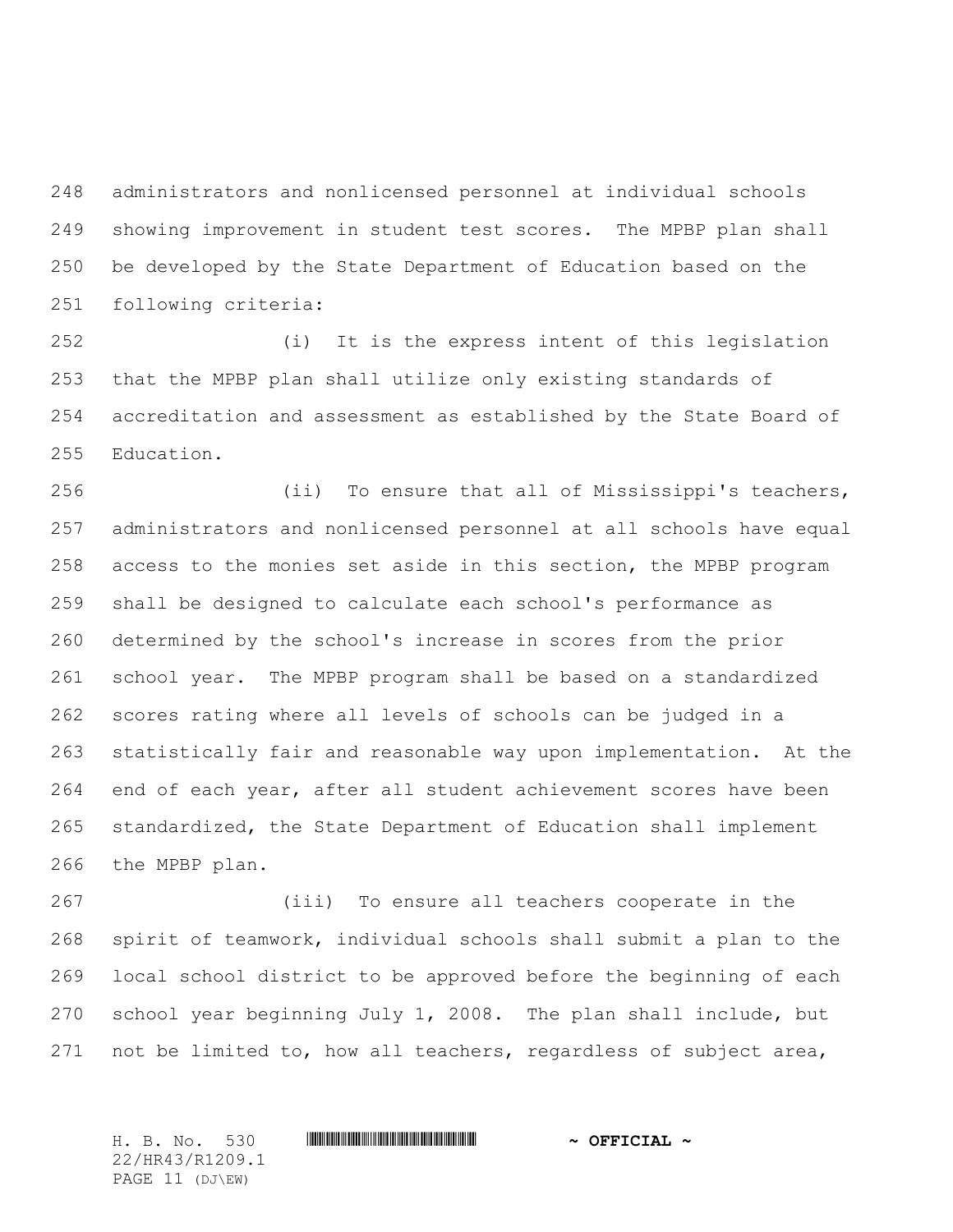administrators and nonlicensed personnel at individual schools showing improvement in student test scores. The MPBP plan shall be developed by the State Department of Education based on the following criteria:

 (i) It is the express intent of this legislation that the MPBP plan shall utilize only existing standards of accreditation and assessment as established by the State Board of Education.

 (ii) To ensure that all of Mississippi's teachers, administrators and nonlicensed personnel at all schools have equal access to the monies set aside in this section, the MPBP program shall be designed to calculate each school's performance as determined by the school's increase in scores from the prior school year. The MPBP program shall be based on a standardized scores rating where all levels of schools can be judged in a statistically fair and reasonable way upon implementation. At the end of each year, after all student achievement scores have been standardized, the State Department of Education shall implement the MPBP plan.

 (iii) To ensure all teachers cooperate in the spirit of teamwork, individual schools shall submit a plan to the local school district to be approved before the beginning of each school year beginning July 1, 2008. The plan shall include, but 271 not be limited to, how all teachers, regardless of subject area,

22/HR43/R1209.1 PAGE 11 (DJ\EW)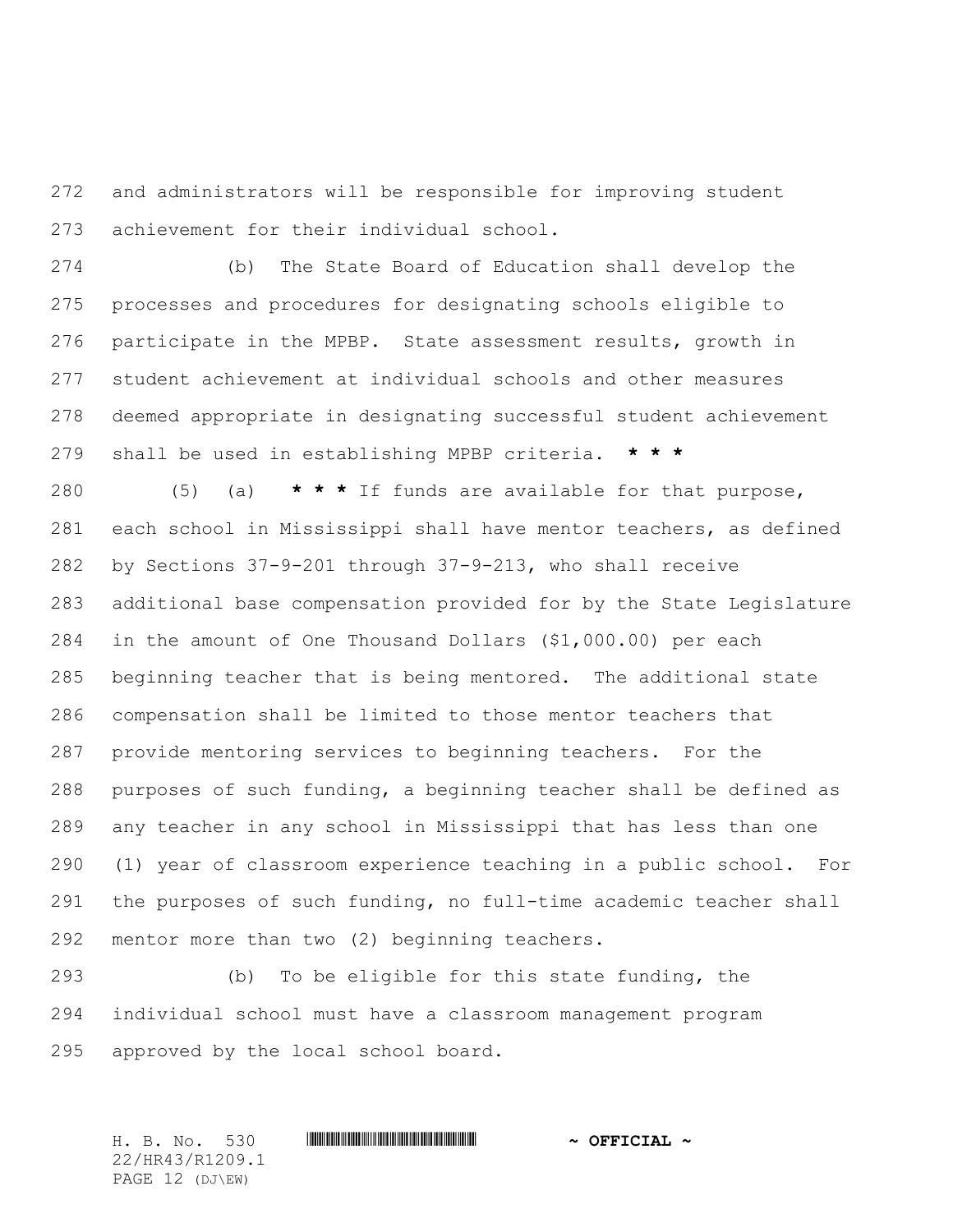and administrators will be responsible for improving student achievement for their individual school.

 (b) The State Board of Education shall develop the processes and procedures for designating schools eligible to participate in the MPBP. State assessment results, growth in student achievement at individual schools and other measures deemed appropriate in designating successful student achievement shall be used in establishing MPBP criteria. **\* \* \***

 (5) (a) **\* \* \*** If funds are available for that purpose, each school in Mississippi shall have mentor teachers, as defined by Sections 37-9-201 through 37-9-213, who shall receive additional base compensation provided for by the State Legislature in the amount of One Thousand Dollars (\$1,000.00) per each beginning teacher that is being mentored. The additional state compensation shall be limited to those mentor teachers that provide mentoring services to beginning teachers. For the purposes of such funding, a beginning teacher shall be defined as any teacher in any school in Mississippi that has less than one (1) year of classroom experience teaching in a public school. For the purposes of such funding, no full-time academic teacher shall mentor more than two (2) beginning teachers.

 (b) To be eligible for this state funding, the individual school must have a classroom management program approved by the local school board.

H. B. No. 530 \*HR43/R1209.1\* **~ OFFICIAL ~** 22/HR43/R1209.1 PAGE 12 (DJ\EW)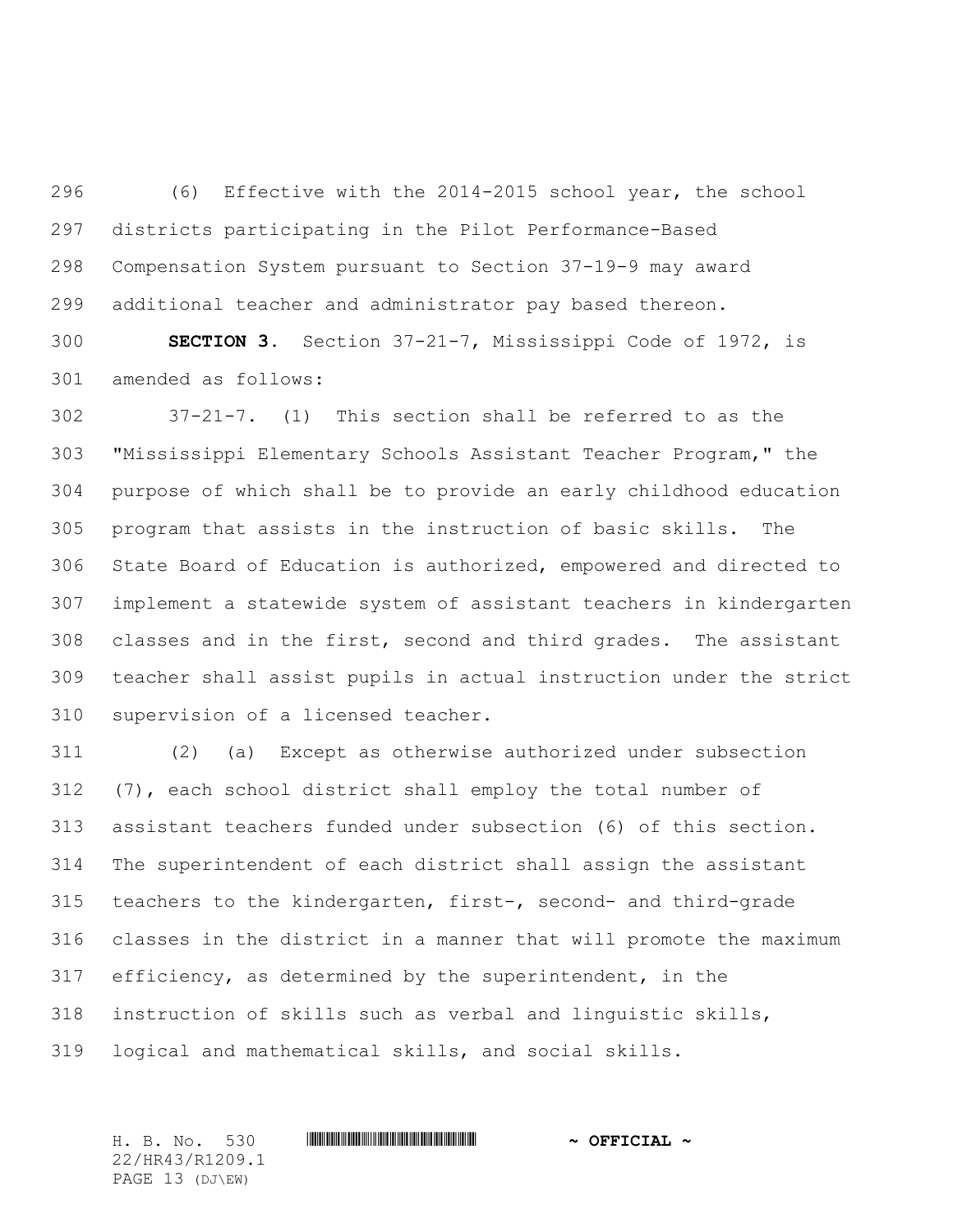(6) Effective with the 2014-2015 school year, the school districts participating in the Pilot Performance-Based Compensation System pursuant to Section 37-19-9 may award additional teacher and administrator pay based thereon.

 **SECTION 3.** Section 37-21-7, Mississippi Code of 1972, is amended as follows:

 37-21-7. (1) This section shall be referred to as the "Mississippi Elementary Schools Assistant Teacher Program," the purpose of which shall be to provide an early childhood education program that assists in the instruction of basic skills. The State Board of Education is authorized, empowered and directed to implement a statewide system of assistant teachers in kindergarten classes and in the first, second and third grades. The assistant teacher shall assist pupils in actual instruction under the strict supervision of a licensed teacher.

 (2) (a) Except as otherwise authorized under subsection (7), each school district shall employ the total number of assistant teachers funded under subsection (6) of this section. The superintendent of each district shall assign the assistant teachers to the kindergarten, first-, second- and third-grade classes in the district in a manner that will promote the maximum efficiency, as determined by the superintendent, in the instruction of skills such as verbal and linguistic skills, logical and mathematical skills, and social skills.

22/HR43/R1209.1 PAGE 13 (DJ\EW)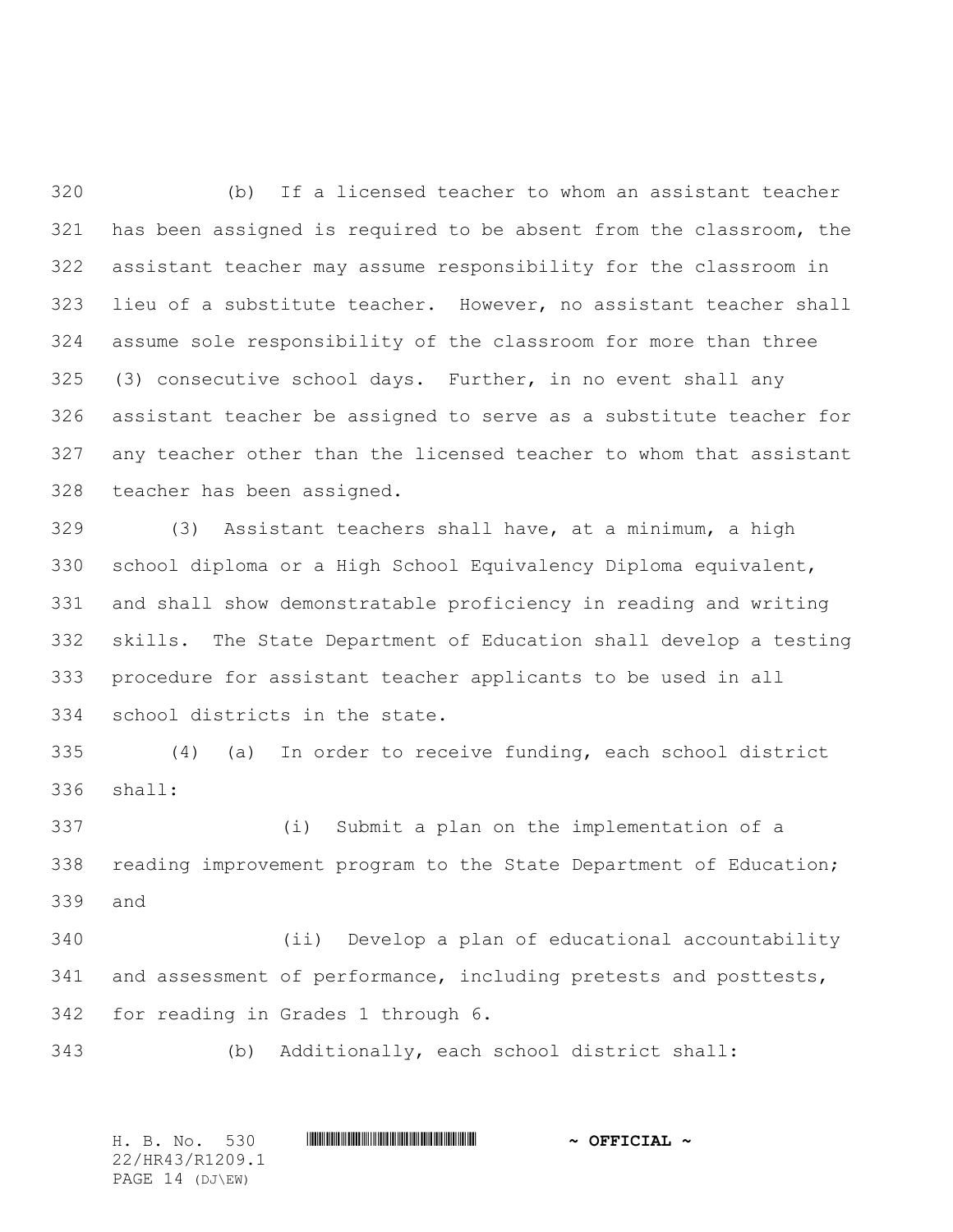(b) If a licensed teacher to whom an assistant teacher has been assigned is required to be absent from the classroom, the assistant teacher may assume responsibility for the classroom in lieu of a substitute teacher. However, no assistant teacher shall assume sole responsibility of the classroom for more than three (3) consecutive school days. Further, in no event shall any assistant teacher be assigned to serve as a substitute teacher for any teacher other than the licensed teacher to whom that assistant teacher has been assigned.

 (3) Assistant teachers shall have, at a minimum, a high school diploma or a High School Equivalency Diploma equivalent, and shall show demonstratable proficiency in reading and writing skills. The State Department of Education shall develop a testing procedure for assistant teacher applicants to be used in all school districts in the state.

 (4) (a) In order to receive funding, each school district shall:

 (i) Submit a plan on the implementation of a reading improvement program to the State Department of Education; and

 (ii) Develop a plan of educational accountability and assessment of performance, including pretests and posttests, for reading in Grades 1 through 6.

(b) Additionally, each school district shall:

H. B. No. 530 \*HR43/R1209.1\* **~ OFFICIAL ~** 22/HR43/R1209.1 PAGE 14 (DJ\EW)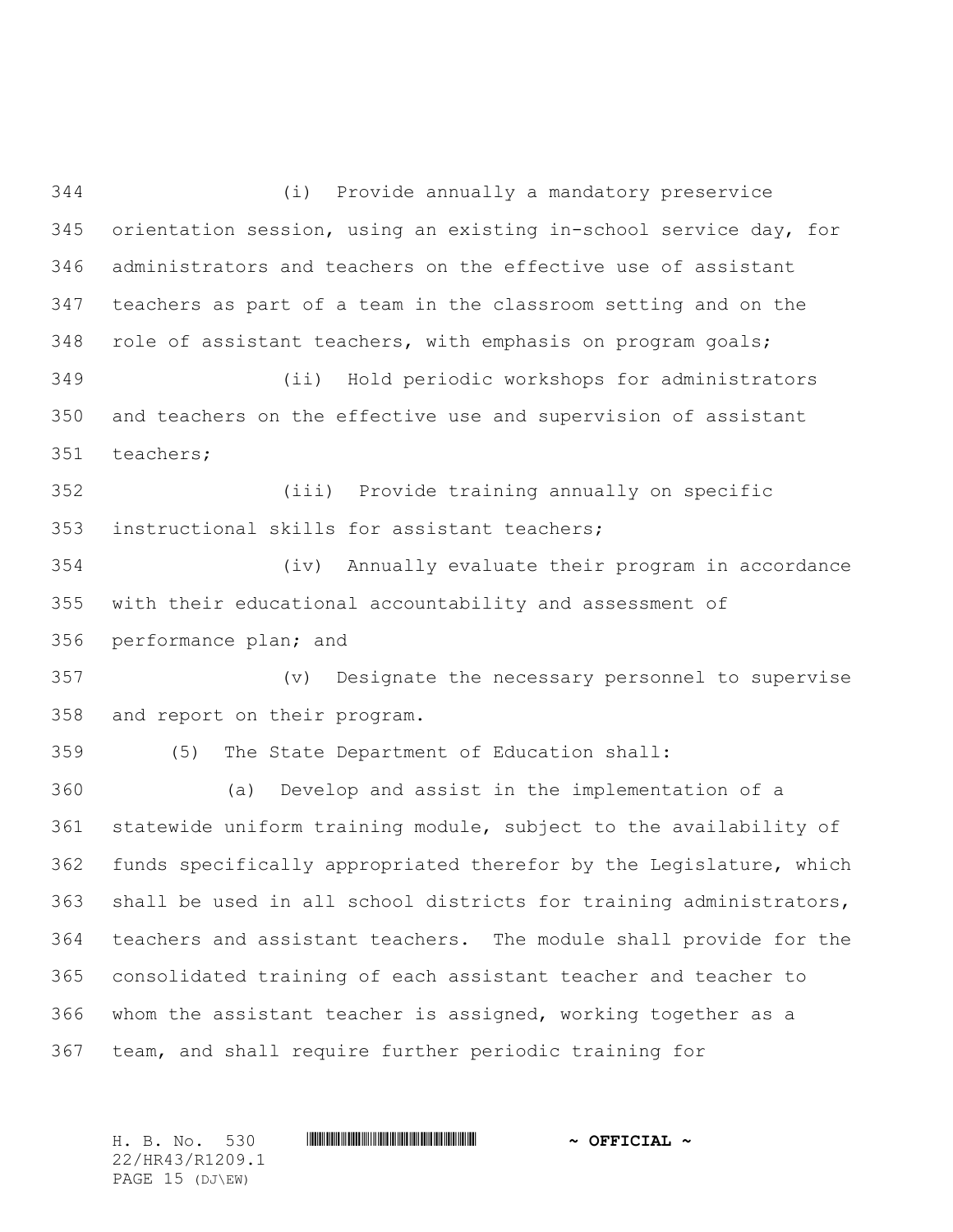(i) Provide annually a mandatory preservice orientation session, using an existing in-school service day, for administrators and teachers on the effective use of assistant teachers as part of a team in the classroom setting and on the role of assistant teachers, with emphasis on program goals; (ii) Hold periodic workshops for administrators and teachers on the effective use and supervision of assistant teachers; (iii) Provide training annually on specific instructional skills for assistant teachers; (iv) Annually evaluate their program in accordance with their educational accountability and assessment of performance plan; and (v) Designate the necessary personnel to supervise and report on their program. (5) The State Department of Education shall: (a) Develop and assist in the implementation of a statewide uniform training module, subject to the availability of funds specifically appropriated therefor by the Legislature, which shall be used in all school districts for training administrators, teachers and assistant teachers. The module shall provide for the consolidated training of each assistant teacher and teacher to whom the assistant teacher is assigned, working together as a team, and shall require further periodic training for

H. B. No. 530 \*HR43/R1209.1\* **~ OFFICIAL ~** 22/HR43/R1209.1 PAGE 15 (DJ\EW)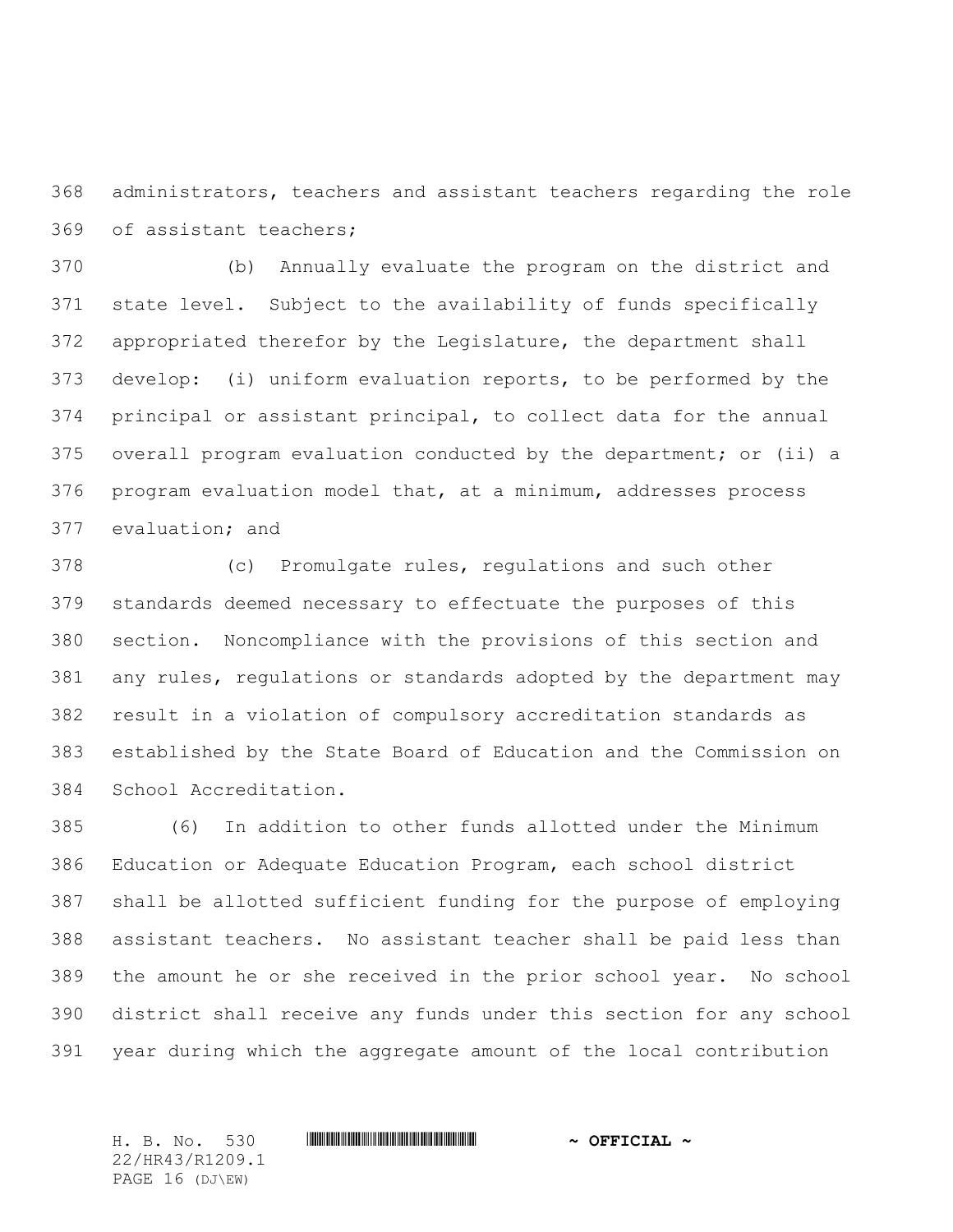administrators, teachers and assistant teachers regarding the role of assistant teachers;

 (b) Annually evaluate the program on the district and state level. Subject to the availability of funds specifically appropriated therefor by the Legislature, the department shall develop: (i) uniform evaluation reports, to be performed by the principal or assistant principal, to collect data for the annual overall program evaluation conducted by the department; or (ii) a program evaluation model that, at a minimum, addresses process evaluation; and

 (c) Promulgate rules, regulations and such other standards deemed necessary to effectuate the purposes of this section. Noncompliance with the provisions of this section and any rules, regulations or standards adopted by the department may result in a violation of compulsory accreditation standards as established by the State Board of Education and the Commission on School Accreditation.

 (6) In addition to other funds allotted under the Minimum Education or Adequate Education Program, each school district shall be allotted sufficient funding for the purpose of employing assistant teachers. No assistant teacher shall be paid less than the amount he or she received in the prior school year. No school district shall receive any funds under this section for any school year during which the aggregate amount of the local contribution

22/HR43/R1209.1 PAGE 16 (DJ\EW)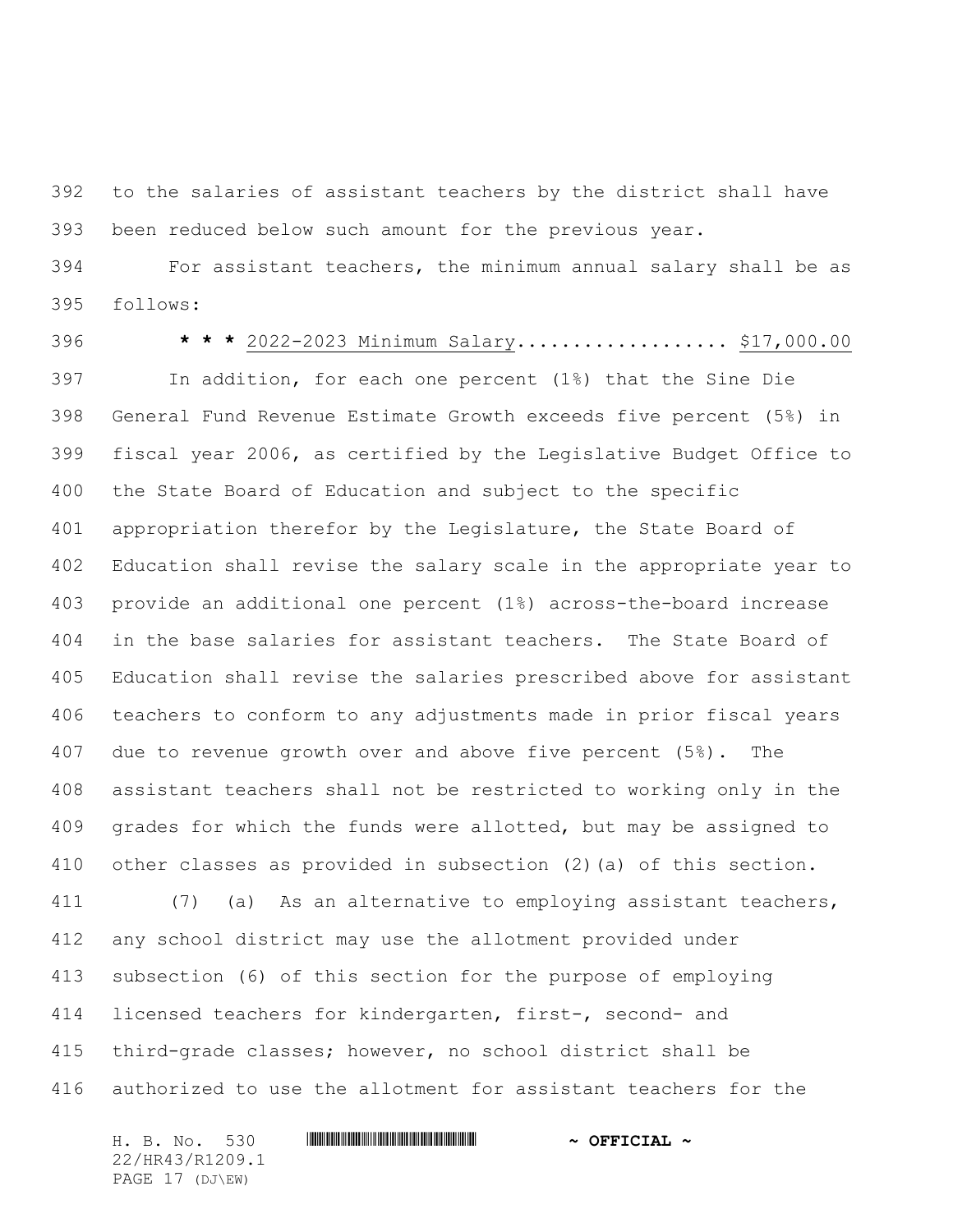to the salaries of assistant teachers by the district shall have been reduced below such amount for the previous year.

 For assistant teachers, the minimum annual salary shall be as follows:

 **\* \* \*** 2022-2023 Minimum Salary................... \$17,000.00 In addition, for each one percent (1%) that the Sine Die General Fund Revenue Estimate Growth exceeds five percent (5%) in fiscal year 2006, as certified by the Legislative Budget Office to the State Board of Education and subject to the specific appropriation therefor by the Legislature, the State Board of Education shall revise the salary scale in the appropriate year to provide an additional one percent (1%) across-the-board increase in the base salaries for assistant teachers. The State Board of Education shall revise the salaries prescribed above for assistant teachers to conform to any adjustments made in prior fiscal years due to revenue growth over and above five percent (5%). The assistant teachers shall not be restricted to working only in the grades for which the funds were allotted, but may be assigned to other classes as provided in subsection (2)(a) of this section. (7) (a) As an alternative to employing assistant teachers, any school district may use the allotment provided under subsection (6) of this section for the purpose of employing licensed teachers for kindergarten, first-, second- and

 third-grade classes; however, no school district shall be authorized to use the allotment for assistant teachers for the

H. B. No. 530 \*HR43/R1209.1\* **~ OFFICIAL ~** 22/HR43/R1209.1 PAGE 17 (DJ\EW)